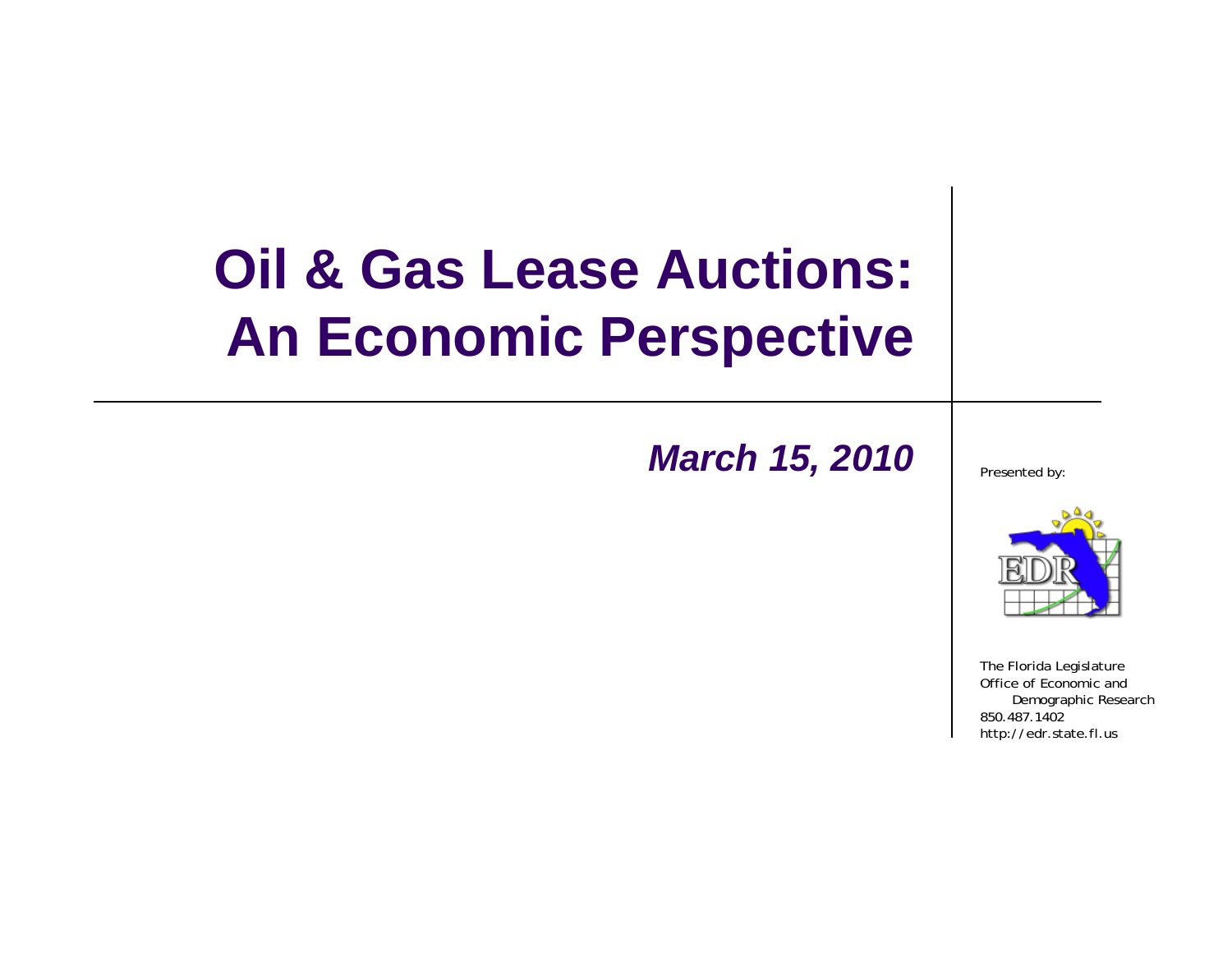### **Oil & Gas Lease Auctions: An Economic Perspective**

#### *March 15, 2010* Presented by:



The Florida Legislature Office of Economic and Demographic Research 850.487.1402http://edr.state.fl.us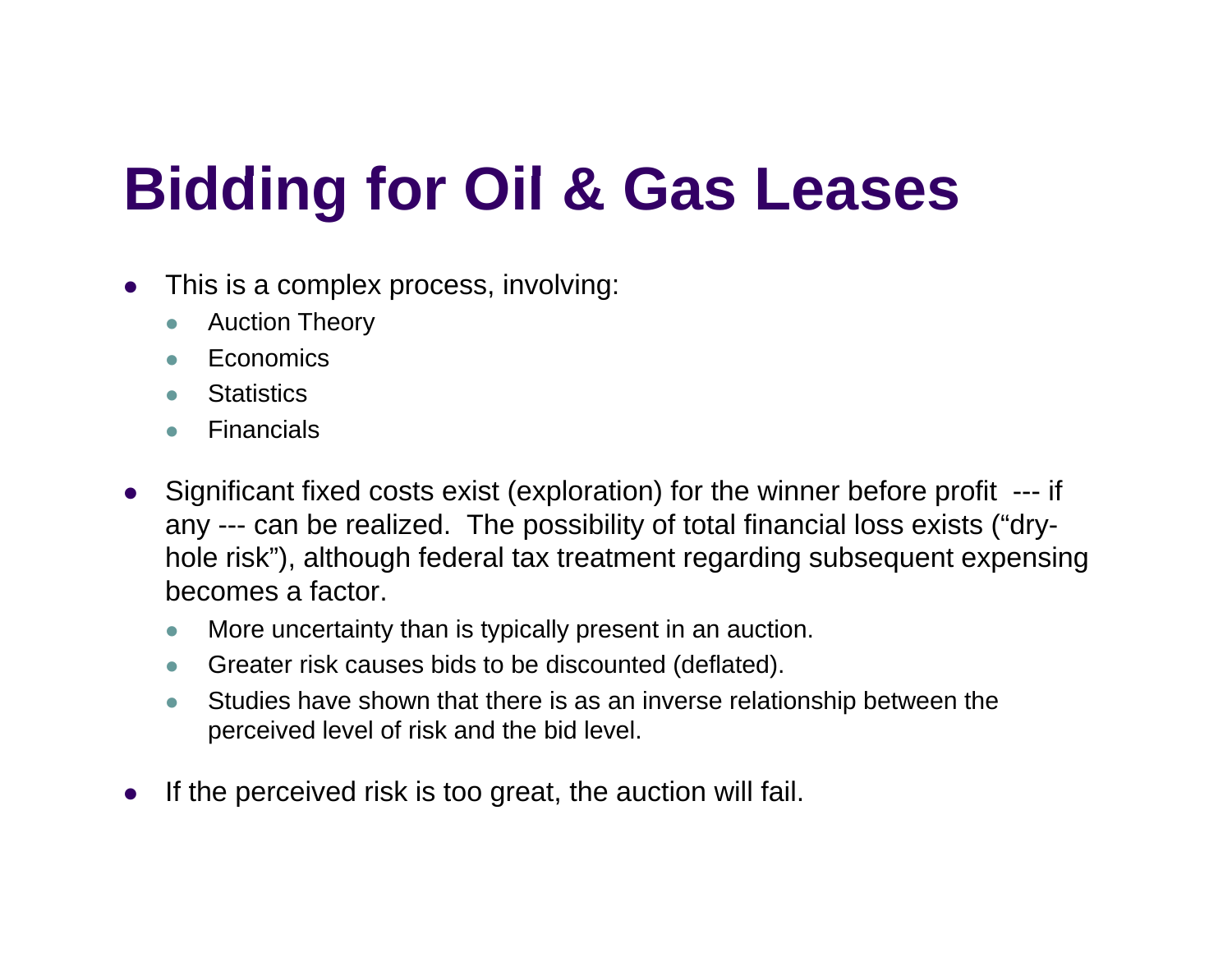# **Biddi f Oil & G L Bidding for Gas Leases**

- $\bullet$ • This is a complex process, involving:
	- zAuction Theory
	- z**Economics**
	- $\bullet$ **Statistics**
	- $\bullet$ Financials
- $\bullet$  Significant fixed costs exist (exploration) for the winner before profit --- if any --- can be realized. The possibility of total financial loss exists ("dryhole risk"), although federal tax treatment regarding subsequent expensing becomes a factor.
	- $\bullet$ More uncertainty than is typically present in an auction.
	- $\bullet$ • Greater risk causes bids to be discounted (deflated).  $\sim$   $\sim$
	- $\bullet$  Studies have shown that there is as an inverse relationship between the perceived level of risk and the bid level.
- $\bullet$ If the perceived risk is too great, the auction will fail.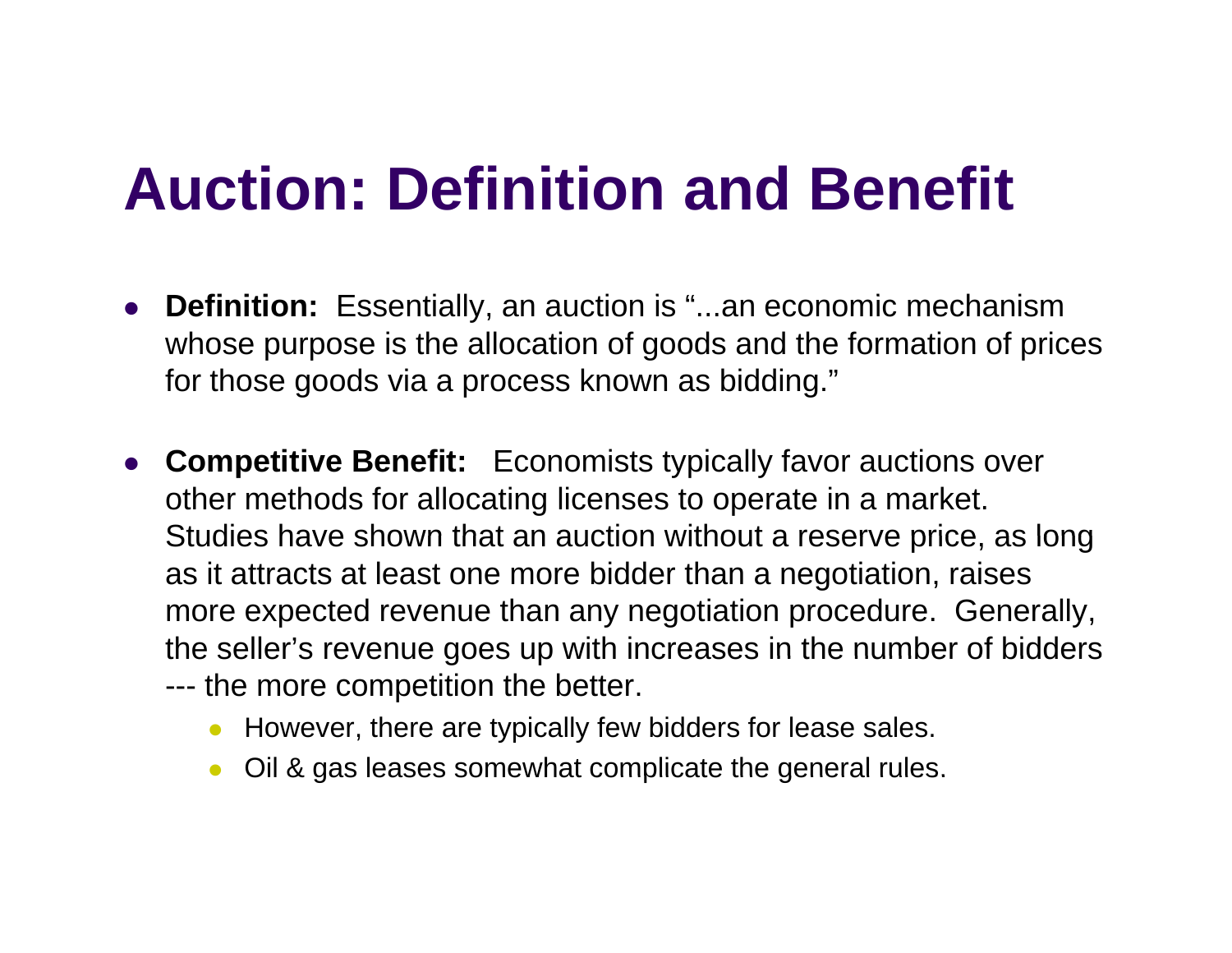### **Auction: Definition and Benefit**

- O **• Definition:** Essentially, an auction is "...an economic mechanism whose purpose is the allocation of goods and the formation of prices for those goods via a process known as bidding."
- **Competitive Benefit:** Economists typically favor auctions over other methods for allocating licenses to operate in a market. Studies have shown that an auction without a reserve price, as long as it attracts at least one more bidder than a negotiation, raises more expected revenue than any negotiation procedure. Generally, the seller's revenue goes up with increases in the number of bidders --- the more competition the better.
	- However, there are typically few bidders for lease sales.
	- $\bullet$ Oil & gas leases somewhat complicate the general rules.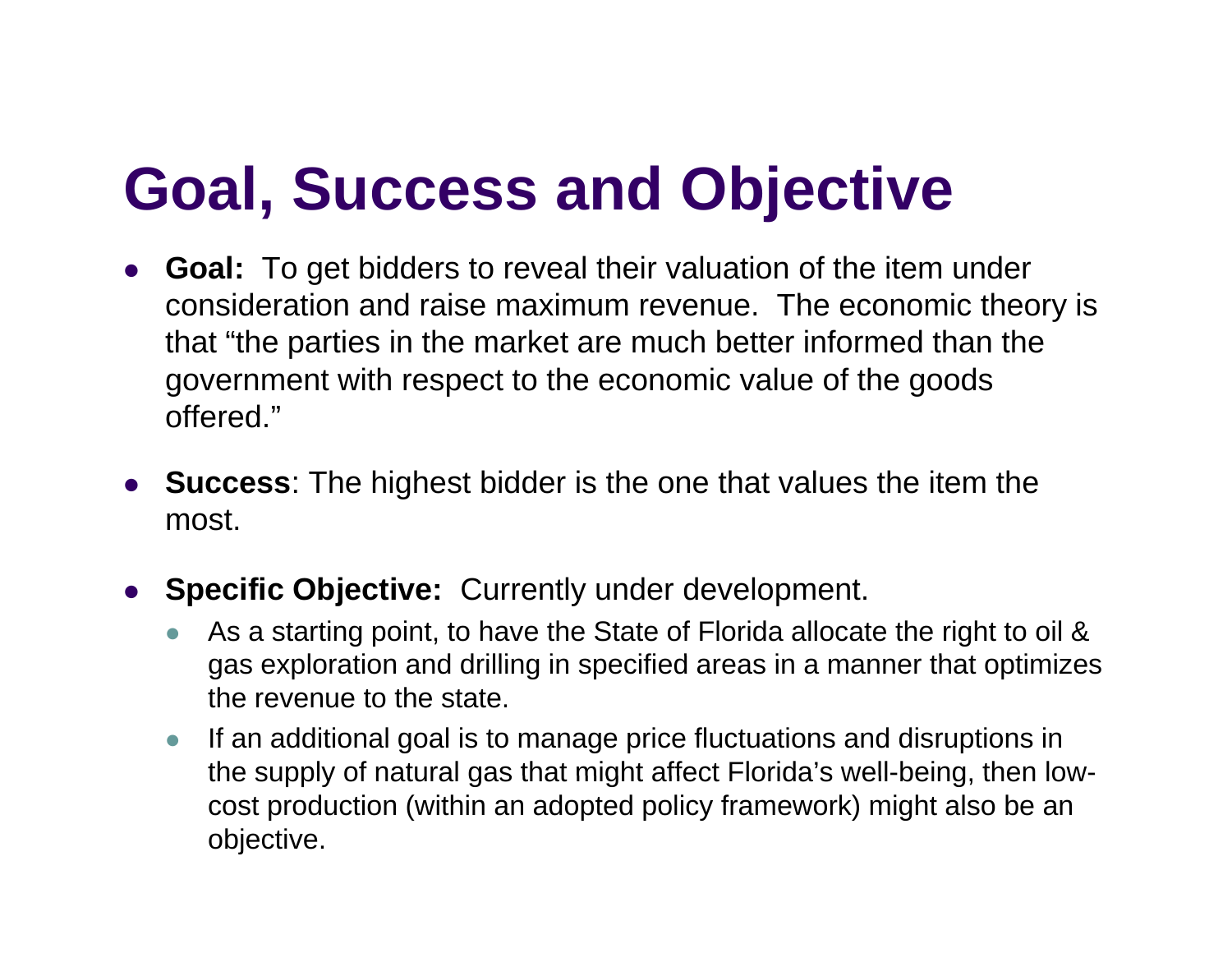# **Goal, Success and Objective**

- O **Goal:** To get bidders to reveal their valuation of the item under consideration and raise maximum revenue. The economic theory is that "the parties in the market are much better informed than the government with respect to the economic value of the goods offered."
- **Success**: The highest bidder is the one that values the item the most.
- $\bullet$ **Specific Objective:** Currently under development.
	- $\bullet$  As a starting point, to have the State of Florida allocate the right to oil & gas exploration and drilling in specified areas in a manner that optimizes the revenue to the state.
	- $\bullet$  If an additional goal is to manage price fluctuations and disruptions in the supply of natural gas that might affect Florida's well-being, then lowcost production (within an adopted policy framework) might also be an objective.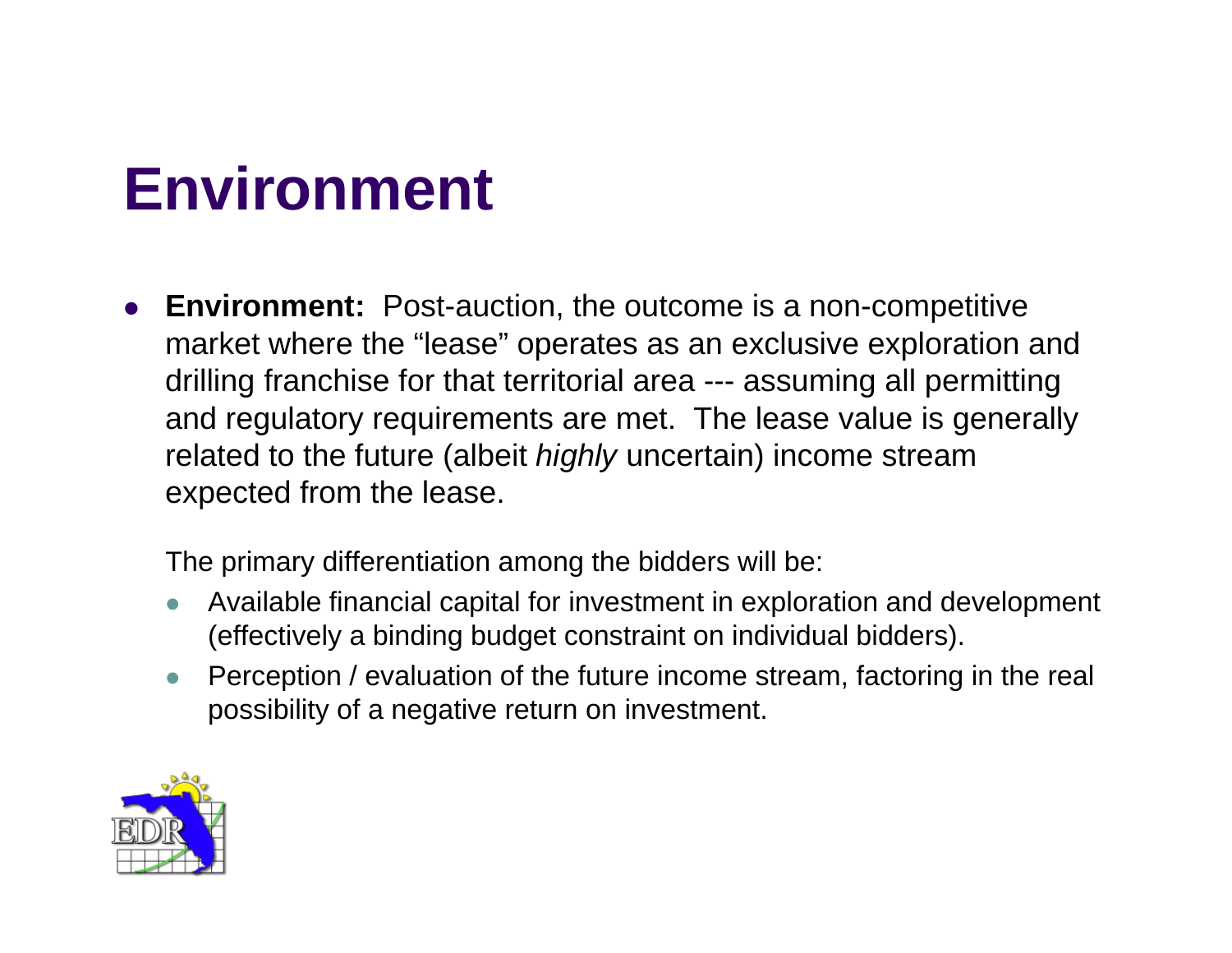### **Ei t nv ronment**

O **Environment:** Post-auction, the outcome is a non-competitive market where the "lease" operates as an exclusive exploration and drilling franchise for that territorial area --- assuming all permitting and regulatory requirements are met. The lease value is generally related to the future (albeit *highly* uncertain) income stream expected from the lease.

The primary differentiation among the bidders will be:

- z Available financial capital for investment in exploration and development (effectively a binding budget constraint on individual bidders).
- z Perception / evaluation of the future income stream, factoring in the real possibility of a negative return on investment.

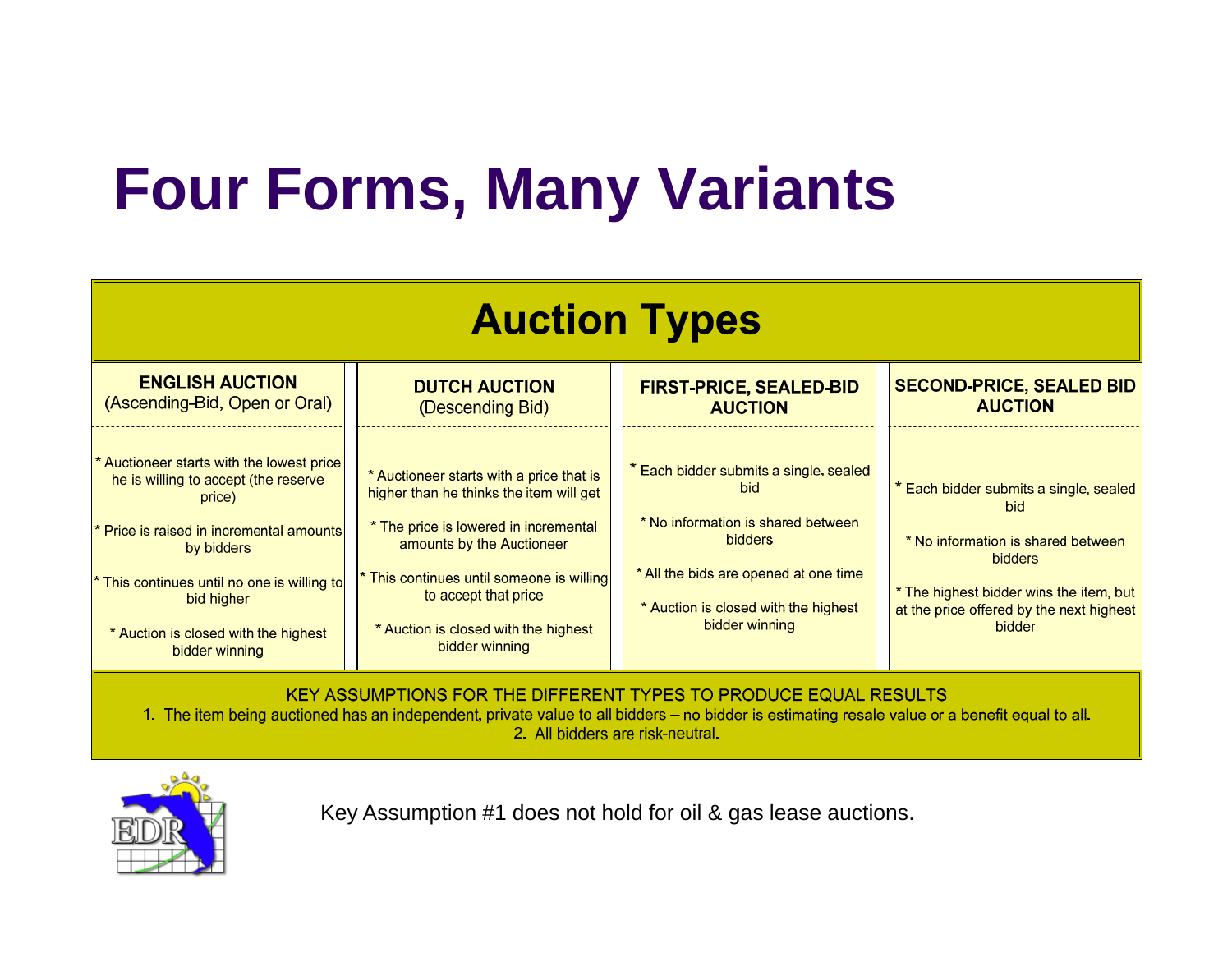# **Four Forms, Many Variants**

| <b>Auction Types</b>                                                                                                                                                                                                                                                         |                                                                                                                                                                                                                                                                                        |                                                                                                                                                                                                                 |                                                                                                                                                                                                               |
|------------------------------------------------------------------------------------------------------------------------------------------------------------------------------------------------------------------------------------------------------------------------------|----------------------------------------------------------------------------------------------------------------------------------------------------------------------------------------------------------------------------------------------------------------------------------------|-----------------------------------------------------------------------------------------------------------------------------------------------------------------------------------------------------------------|---------------------------------------------------------------------------------------------------------------------------------------------------------------------------------------------------------------|
| <b>ENGLISH AUCTION</b><br>(Ascending-Bid, Open or Oral)                                                                                                                                                                                                                      | <b>DUTCH AUCTION</b><br>(Descending Bid)                                                                                                                                                                                                                                               | <b>FIRST-PRICE, SEALED-BID</b><br><b>AUCTION</b>                                                                                                                                                                | <b>SECOND-PRICE, SEALED BID</b><br><b>AUCTION</b>                                                                                                                                                             |
| * Auctioneer starts with the lowest price<br>he is willing to accept (the reserve<br>price)<br>* Price is raised in incremental amounts<br>by bidders<br>* This continues until no one is willing to<br>bid higher<br>* Auction is closed with the highest<br>bidder winning | * Auctioneer starts with a price that is<br>higher than he thinks the item will get<br>* The price is lowered in incremental<br>amounts by the Auctioneer<br>This continues until someone is willing<br>to accept that price<br>* Auction is closed with the highest<br>bidder winning | * Each bidder submits a single, sealed<br><b>bid</b><br>* No information is shared between<br><b>bidders</b><br>* All the bids are opened at one time<br>* Auction is closed with the highest<br>bidder winning | * Each bidder submits a single, sealed<br><b>bid</b><br>* No information is shared between<br><b>bidders</b><br>* The highest bidder wins the item, but<br>at the price offered by the next highest<br>bidder |
| KEY ASSUMPTIONS FOR THE DIFFERENT TYPES TO PRODUCE EQUAL RESULTS<br>1. The item being auctioned has an independent, private value to all bidders – no bidder is estimating resale value or a benefit equal to all.                                                           |                                                                                                                                                                                                                                                                                        |                                                                                                                                                                                                                 |                                                                                                                                                                                                               |

2. All bidders are risk-neutral.



Key Assumption #1 does not hold for oil & gas lease auctions.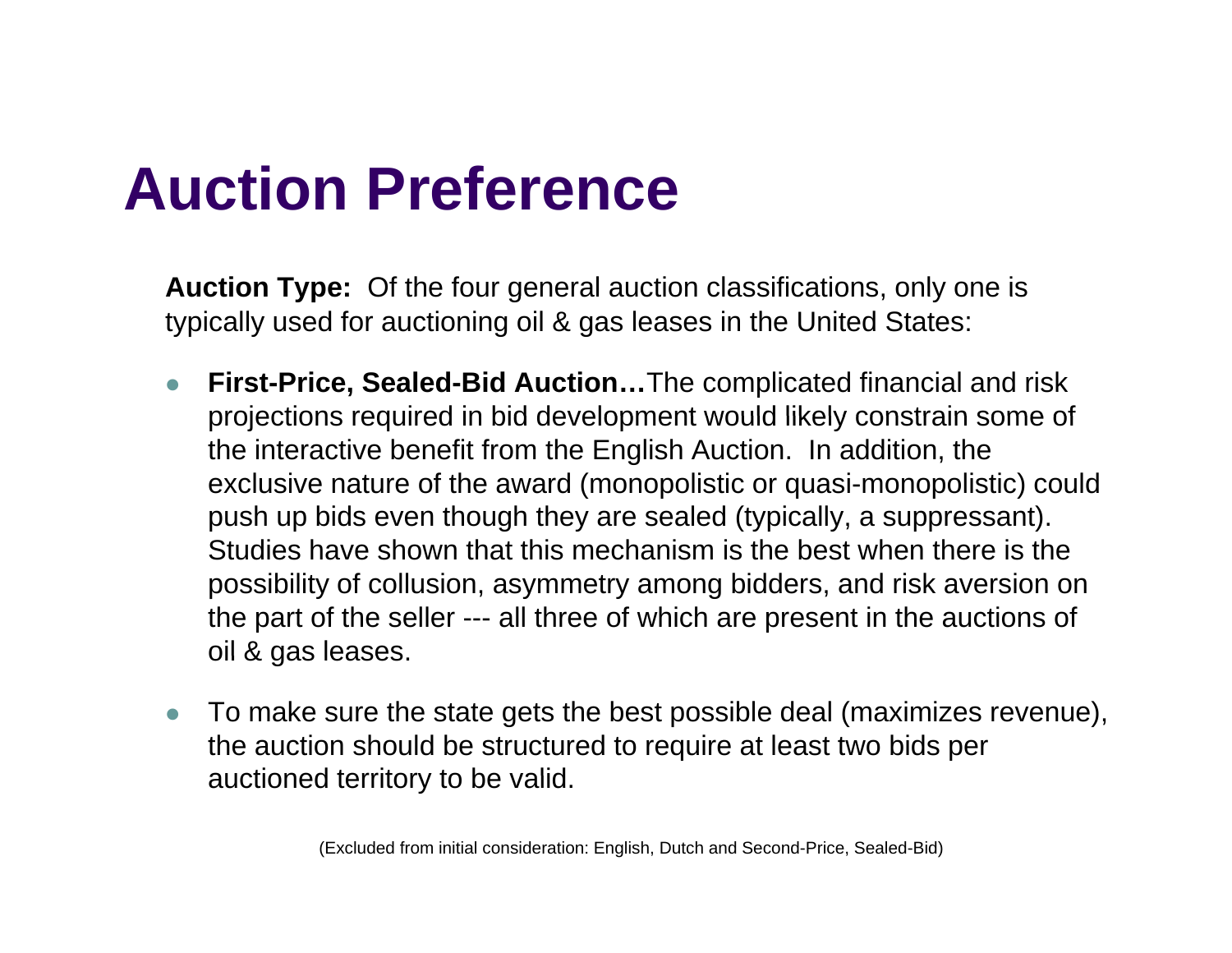### **A ti P f Auction Preference**

**Auction Type:** Of the four general auction classifications, only one is typically used for auctioning oil & gas leases in the United States:

- $\bullet$  **First-Price, Sealed-Bid Auction…**The complicated financial and risk projections required in bid development would likely constrain some of the interactive benefit from the English Auction. In addition, the exclusive nature of the award (monopolistic or quasi-monopolistic) could push up bids even though they are sealed (typically, a suppressant). Studies have shown that this mechanism is the best when there is the possibility of collusion, asymmetry among bidders, and risk aversion on the part of the seller --- all three of which are present in the auctions of oil & gas leases.
- $\bullet$  To make sure the state gets the best possible deal (maximizes revenue), the auction should be structured to require at least two bids per auctioned territory to be valid.

(Excluded from initial consideration: English, Dutch and Second-Price, Sealed-Bid)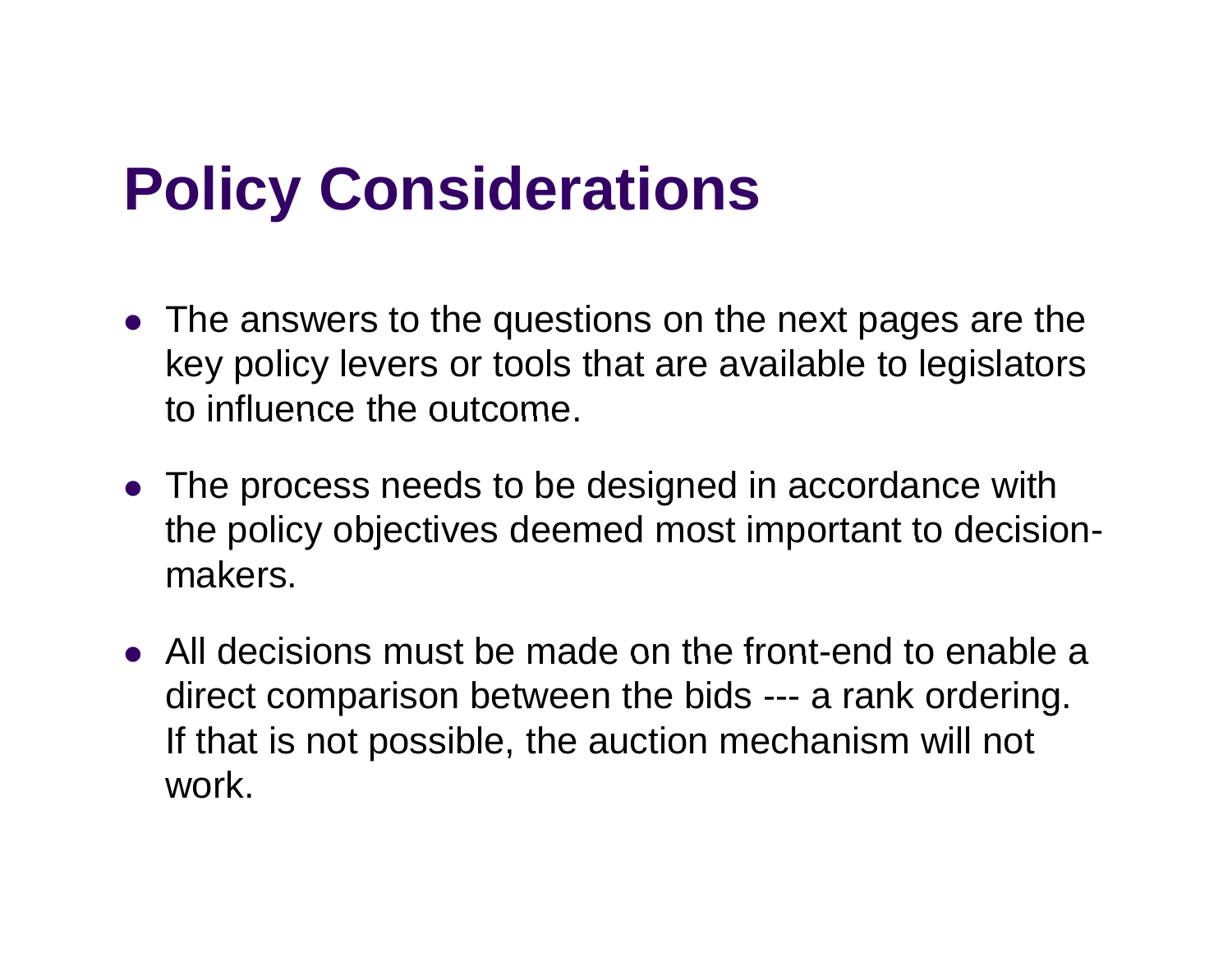# **Policy Considerations**

- The answers to the questions on the next pages are the key policy levers or tools that are available to legislators to influence the outcome.
- The process needs to be designed in accordance with the policy objectives deemed most important to decision makers.
- $\bullet$  All decisions must be made on the front-end to enable a direct comparison between the bids --- a rank ordering. If that is not possible, the auction mechanism will not work.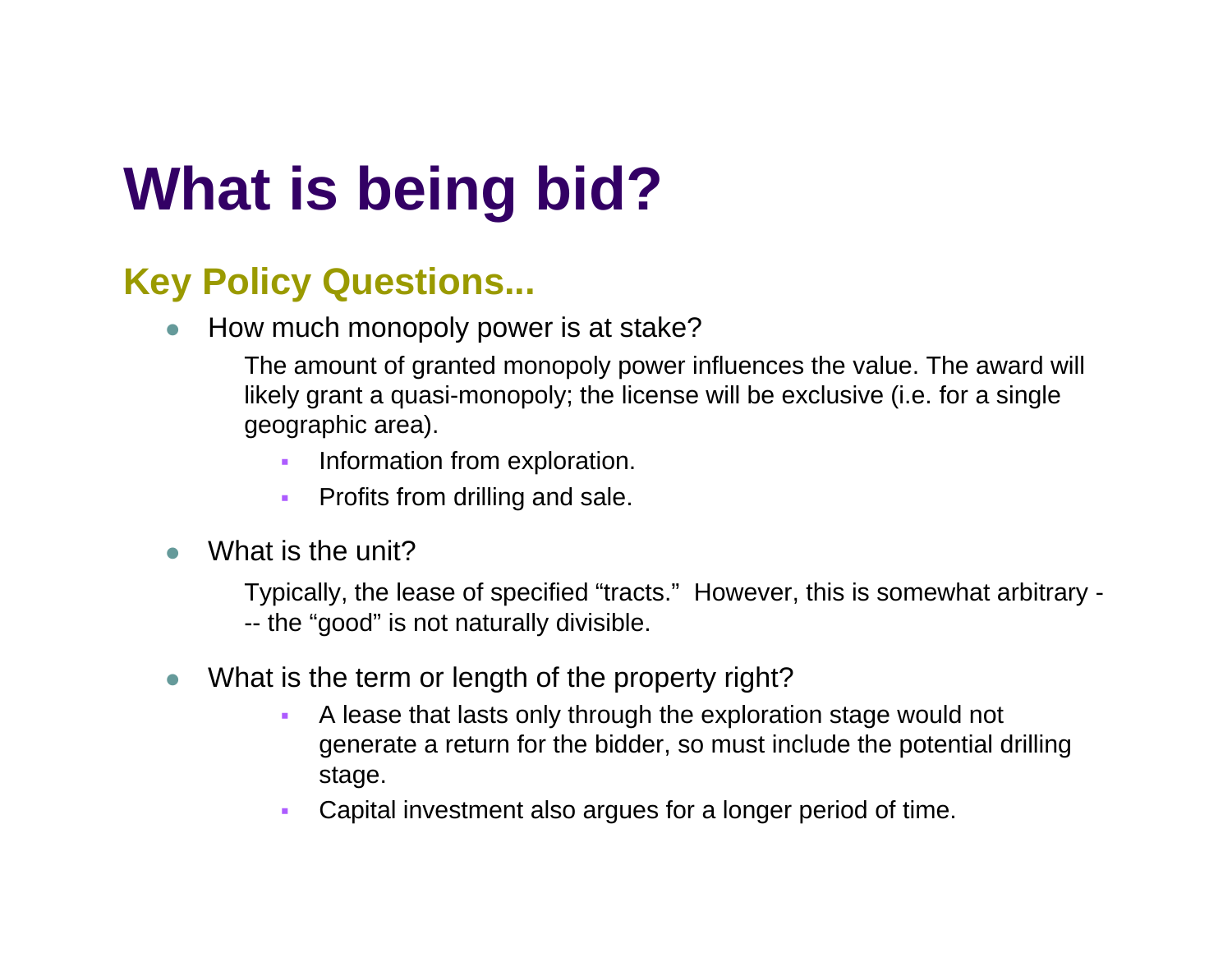# **Wh t i b i bid? a is e ing**

#### $\boldsymbol{\mathsf{Key}}$  Policy Questions...

zHow much monopoly power is at stake?

> The amount of granted monopoly power influences the value. The award will likely grant a quasi-monopoly; the license will be exclusive (i.e. for a single geographic area).

- П Information from exploration.
- $\mathbf{r}$ Profits from drilling and sale.
- $\bullet$ What is the unit?

Typically, the lease of specified "tracts." However, this is somewhat arbitrary - -- the "good" is not naturally divisible.

- $\bullet$  What is the term or length of the property right?
	- $\mathbf{r}$  A lease that lasts only through the exploration stage would not generate a return for the bidder, so must include the potential drilling stage.
	- П Capital investment also argues for a longer period of time.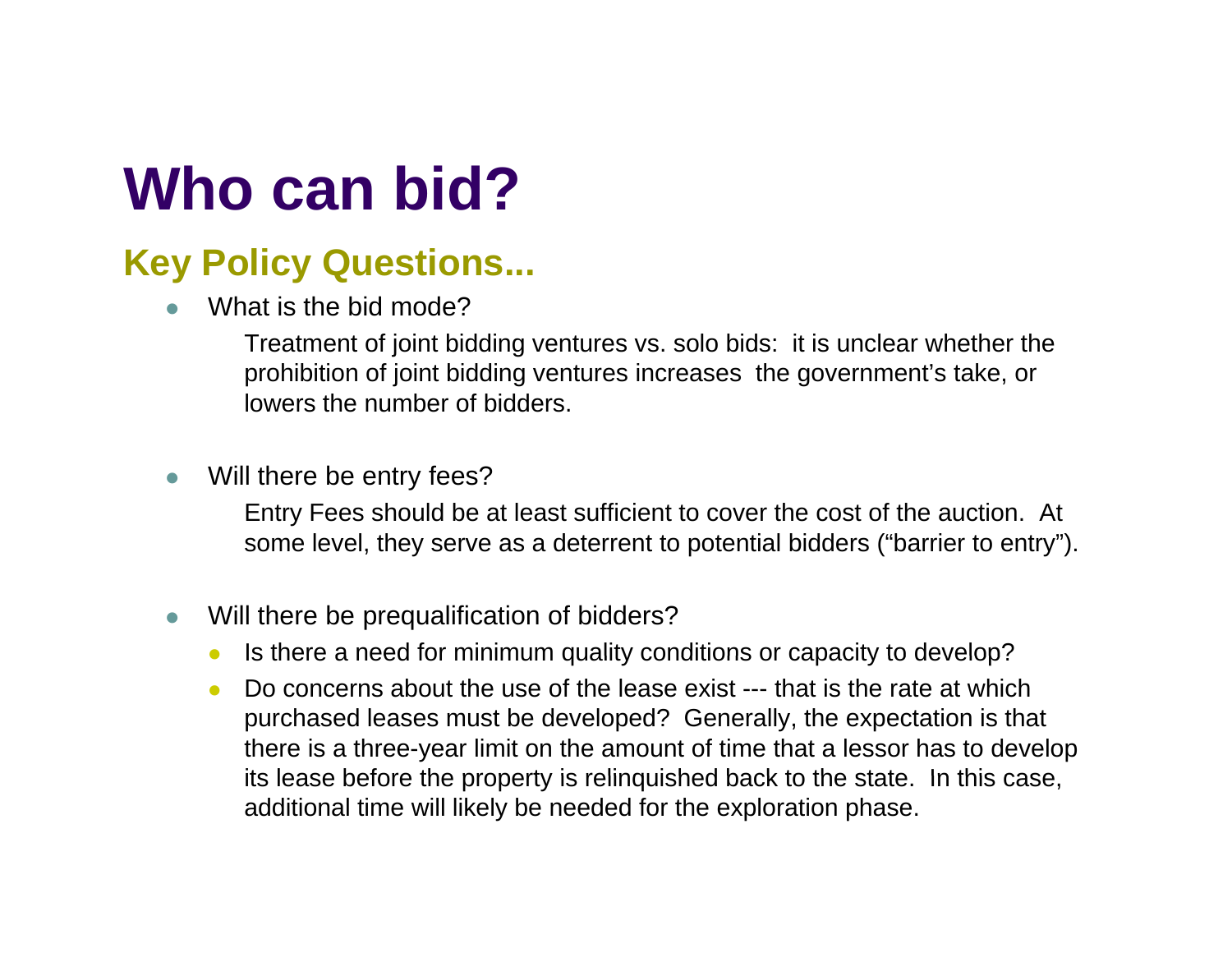# **Wh bid? Who can**

#### **Key Policy Questions...**

zWhat is the bid mode?

> Treatment of joint bidding ventures vs. solo bids: it is unclear whether the prohibition of joint bidding ventures increases the government's take, or lowers the number of bidders.

 $\bullet$ Will there be entry fees?

> Entry Fees should be at least sufficient to cover the cost of the auction. At some level, they serve as a deterrent to potential bidders ("barrier to entry").

- $\bullet$  Will there be prequalification of bidders?
	- $\bullet$ Is there a need for minimum quality conditions or capacity to develop?
	- O Do concerns about the use of the lease exist --- that is the rate at which purchased leases must be developed? Generally, the expectation is that there is a three-year limit on the amount of time that a lessor has to develop its lease before the property is relinguished back to the state. In this case, additional time will likely be needed for the exploration phase.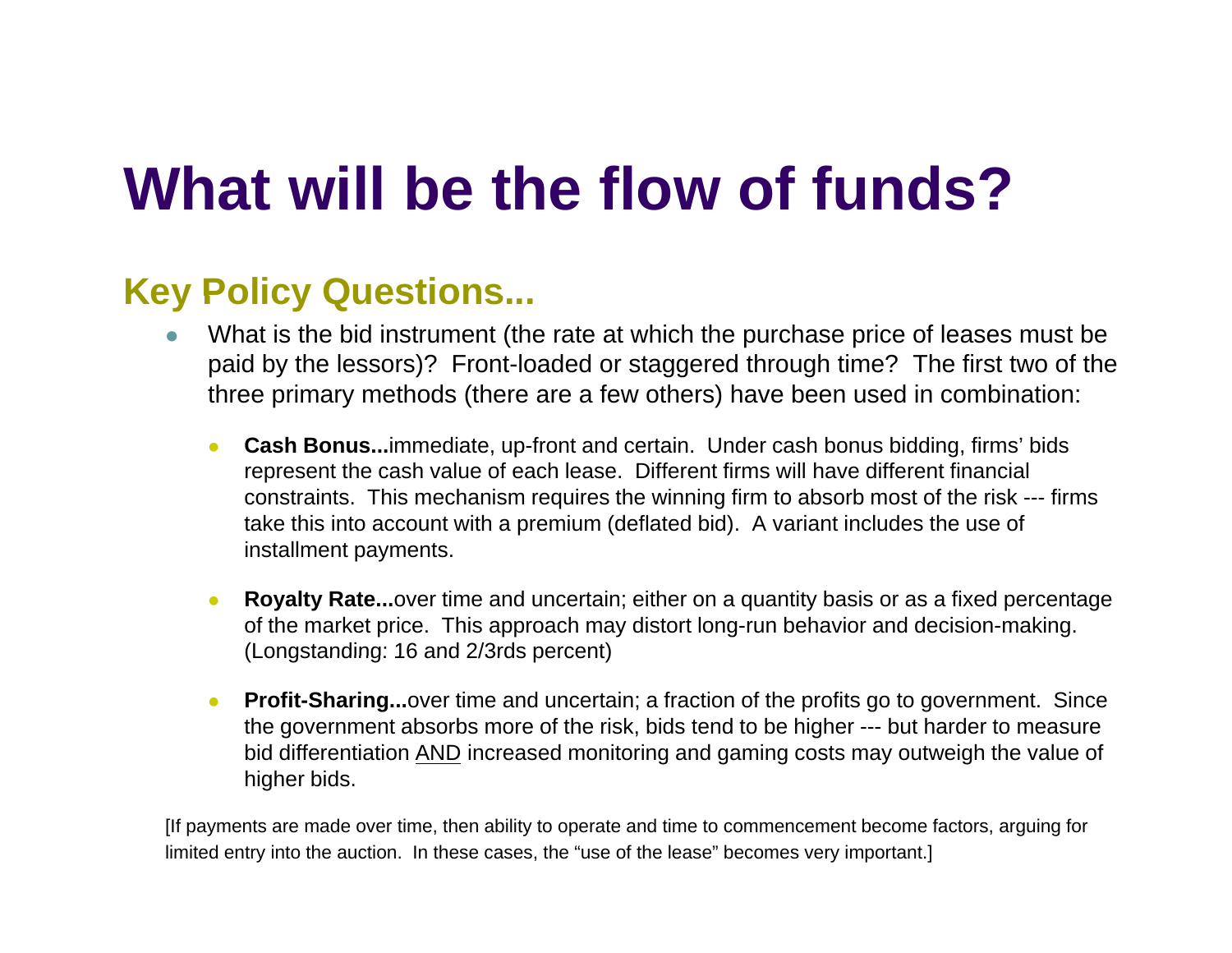# **Wh t ill b th fl f f d ?at willbe the flow offuns**

#### **Key Policy Questions...**

- z What is the bid instrument (the rate at which the purchase price of leases must be paid by the lessors)? Front-loaded or staggered through time? The first two of the three primary methods (there are a few others) have been used in combination:
	- $\bullet$  **Cash Bonus...**immediate, up-front and certain. Under cash bonus bidding, firms' bids represent the cash value of each lease. Different firms will have different financial constraints. This mechanism requires the winning firm to absorb most of the risk --- firms take this into account with a premium (deflated bid). A variant includes the use of installment payments.
	- z **Royalty Rate...**over time and uncertain; either on a quantity basis or as a fixed percentage of the market price. This approach may distort long-run behavior and decision-making. (Longstanding: 16 and 2/3rds percent)
	- z**Profit-Sharing...**over time and uncertain; a fraction of the profits go to government. Since the government absorbs more of the risk, bids tend to be higher --- but harder to measure bid differentiation <u>AND</u> increased monitoring and gaming costs may outweigh the value of higher bids.

[If payments are made over time, then ability to operate and time to commencement become factors, arguing for limited entry into the auction. In these cases, the "use of the lease" becomes very important.]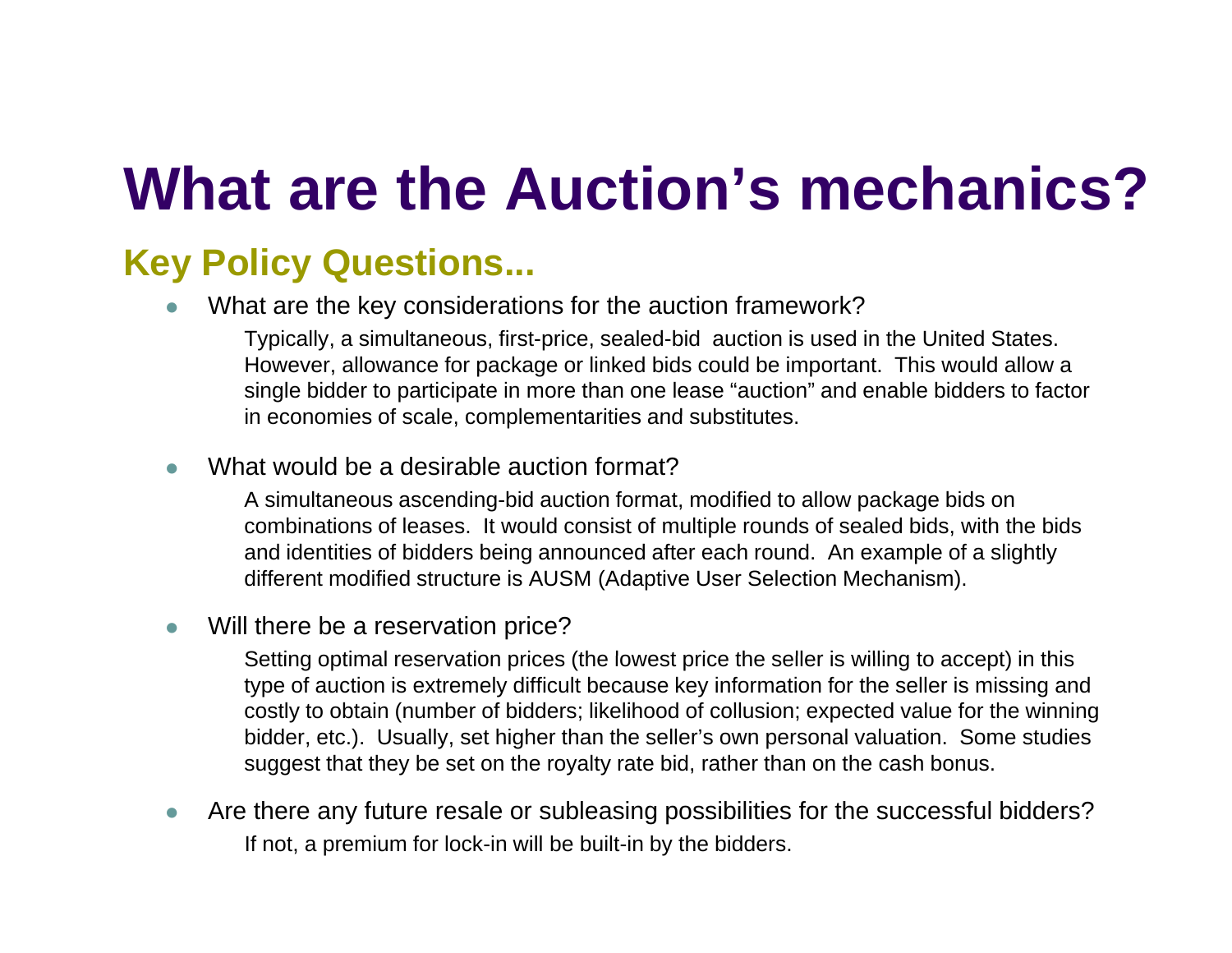# **Wh t th A ti ' h i ?at are the Auction's mechanics**

#### **Key Policy Questions...**

z• What are the key considerations for the auction framework?

> Typically, a simultaneous, first-price, sealed-bid auction is used in the United States. However, allowance for package or linked bids could be important. This would allow a single bidder to participate in more than one lease "auction" and enable bidders to factor in economies of scale, complementarities and substitutes.

 $\bullet$ What would be a desirable auction format?

> A simultaneous ascending-bid auction format, modified to allow package bids on combinations of leases. It would consist of multiple rounds of sealed bids, with the bids and identities of bidders being announced after each round. An example of a slightly different modified structure is AUSM (Adaptive User Selection Mechanism).

 $\bullet$ Will there be a reservation price?

> Setting optimal reservation prices (the lowest price the seller is willing to accept) in this type of auction is extremely difficult because key information for the seller is missing and costly to obtain (number of bidders; likelihood of collusion; expected value for the winning bidder, etc.). Usually, set higher than the seller's own personal valuation. Some studies suggest that they be set on the royalty rate bid, rather than on the cash bonus.

 $\bullet$  Are there any future resale or subleasing possibilities for the successful bidders? If not, a premium for lock-in will be built-in by the bidders.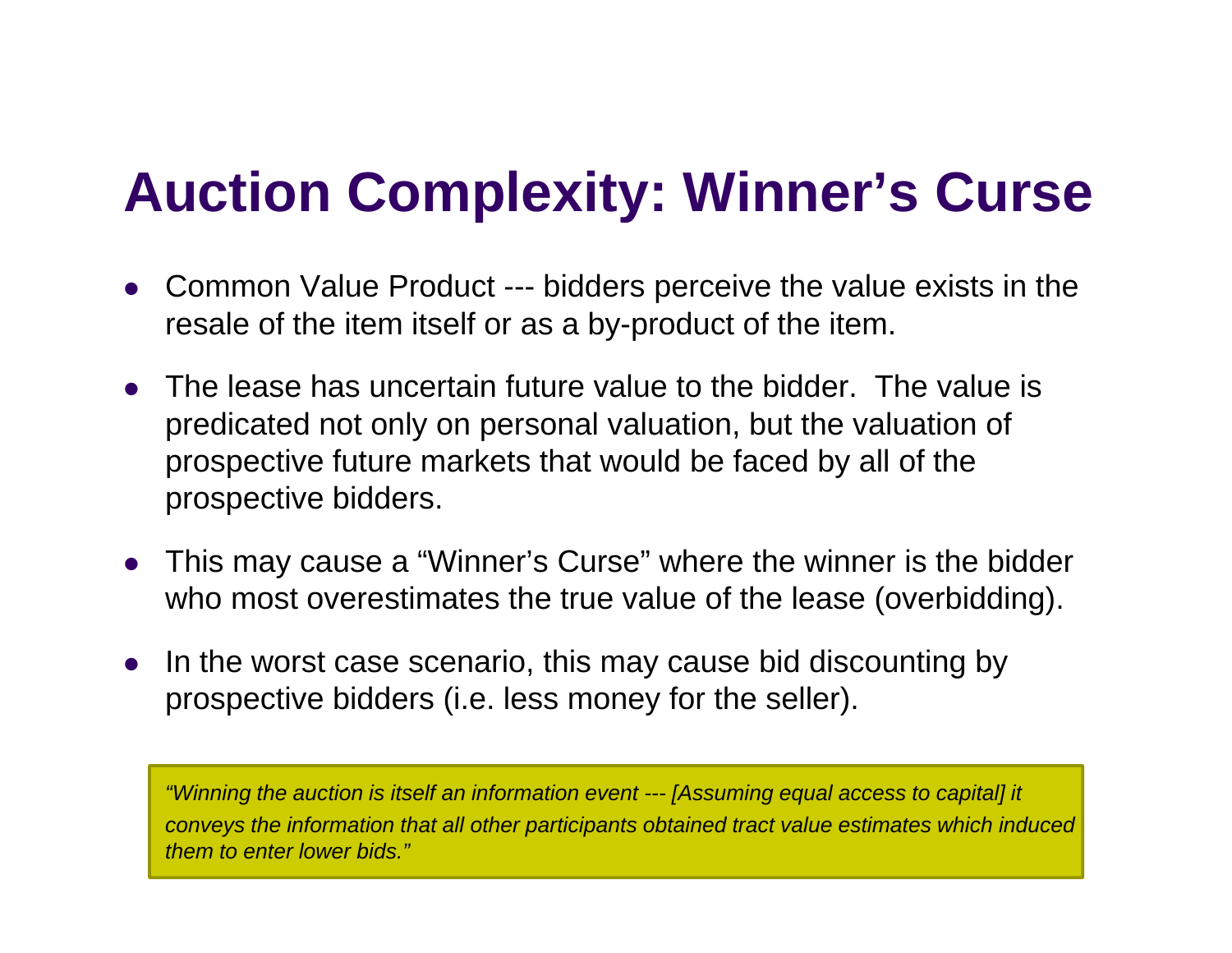### **A ti C l it Wi ' C Auction Comp lexity: Winner 's Curse**

- O Common Value Product --- bidders perceive the value exists in the resale of the item itself or as a by-product of the item.
- $\bullet$  The lease has uncertain future value to the bidder. The value is predicated not only on personal valuation, but the valuation of prospective future markets that would be faced by all of the prospective bidders.
- O This may cause a "Winner's Curse" where the winner is the bidder who most overestimates the true value of the lease (overbidding).
- $\bullet$ • In the worst case scenario, this may cause bid discounting by prospective bidders (i.e. less money for the seller).

*"Winning the auction is itself an information event --- [Assuming equal access to capital] it conveys the information that all other participants obtained tract value estimates which induced them to enter lower bids."*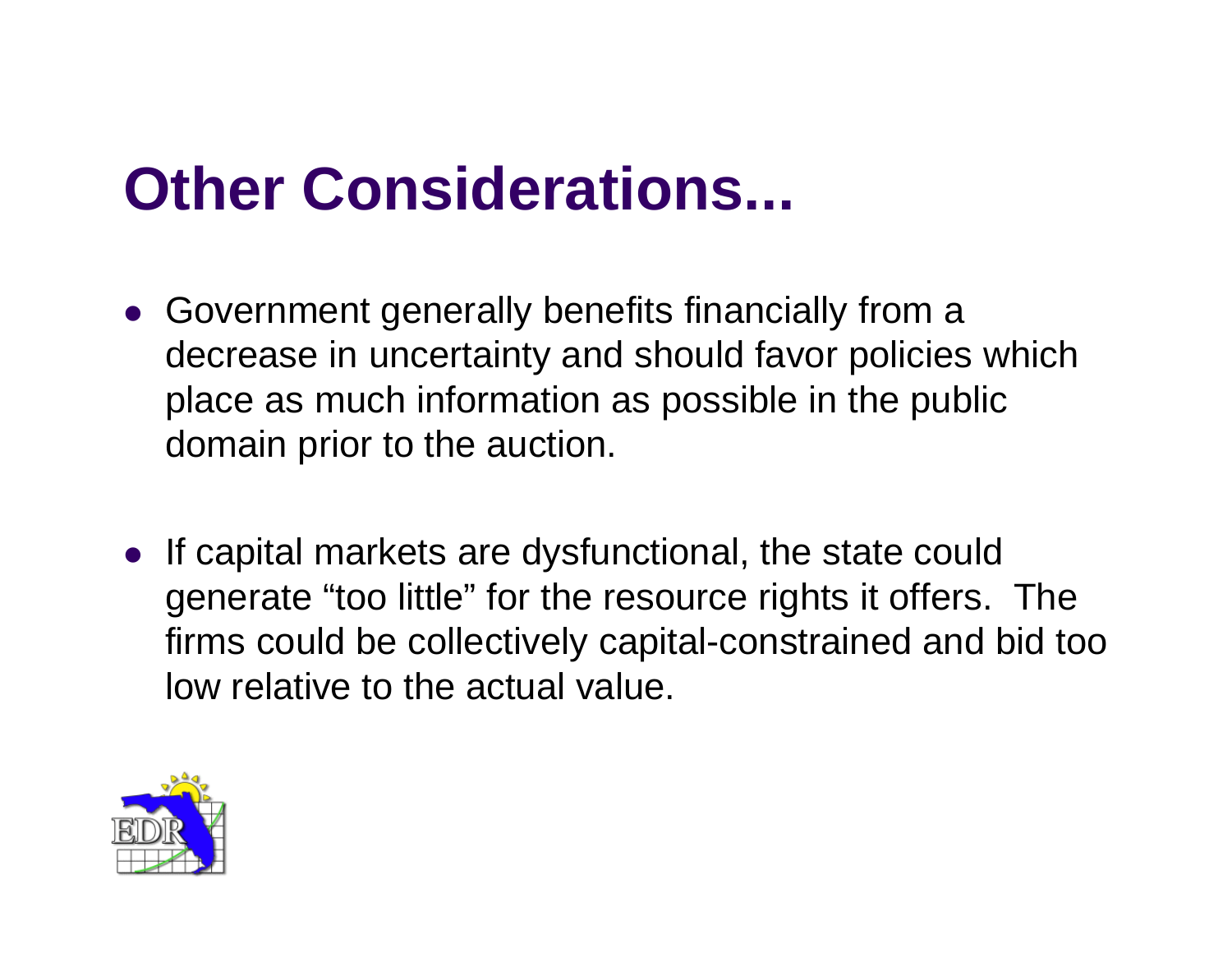# **Other Considerations...**

- Government generally benefits financially from a decrease in uncertainty and should favor policies which place as much information as possible in the public domain prior to the auction.
- If capital markets are dysfunctional, the state could generate "too little" for the resource rights it offers. The firms could be collectively capital-constrained and bid too low relative to the actual value.